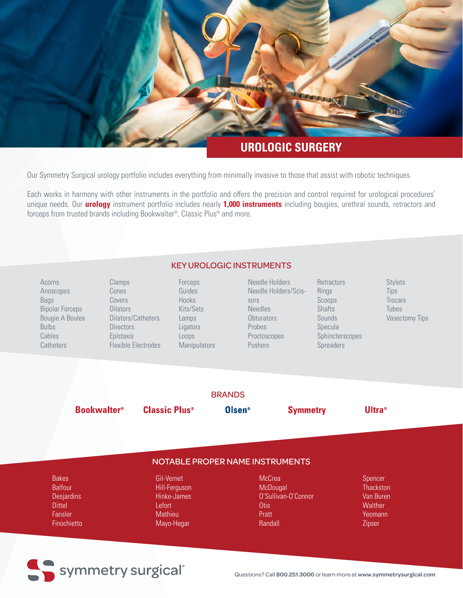

## **UROLOGIC SURGERY**

Our Symmetry Surgical urology portfolio includes everything from minimally invasive to those that assist with robotic techniques.

Each works in harmony with other instruments in the portfolio and offers the precision and control required for urological procedures' unique needs. Our **urology** instrument portfolio includes nearly **1,000 instruments** including bougies, urethral sounds, retractors and forceps from trusted brands including Bookwalter®, Classic Plus® and more.

| <b>KEY UROLOGIC INSTRUMENTS</b> |  |
|---------------------------------|--|
|                                 |  |

| Acorns                 | Clamps              | Forceps             | Needle Holde   |  |
|------------------------|---------------------|---------------------|----------------|--|
| Anoscopes              | Cones               | Guides              | Needle Holde   |  |
| Bags                   | Covers              | <b>Hooks</b>        | sors           |  |
| <b>Bipolar Forceps</b> | <b>Dilators</b>     | Kits/Sets           | <b>Needles</b> |  |
| <b>Bougie A Boules</b> | Dilators/Catheters  | Lamps               | Obturators     |  |
| <b>Bulbs</b>           | <b>Directors</b>    | Ligators            | Probes         |  |
| Cables                 | Epistaxis           | Loops               | Proctoscopes   |  |
| Catheters              | Flexible Electrodes | <b>Manipulators</b> | <b>Pushers</b> |  |
|                        |                     |                     |                |  |
|                        |                     |                     |                |  |
|                        |                     |                     |                |  |
|                        |                     |                     |                |  |
|                        |                     | <b>BRANDS</b>       |                |  |
|                        |                     |                     |                |  |

Needle Holders ders/Scis-

**Retractors** Rings Scoops Shafts Sounds Specula Sphincterscopes **Spreaders** 

Stylets Tips **Trocars** Tubes Vasectomy Tips

**Bookwalter®** 

**Classic Plus<sup>®</sup>** 

**Olsen®** 

**Symmetry** 

**Ultra**<sup>®</sup>

## NOTABLE PROPER NAME INSTRUMENTS

Bakes Balfour **Desjardins Dittel** Fansler **Finochietto** 

> Gil-Vernet Hill-Ferguson Hinke-James Lefort **Mathieu** Mayo-Hegar

**McCrea McDougal** O'Sullivan-O'Connor **Otis** Pratt Randall

Spencer **Thackston** Van Buren **Walther** Yeomann Zipser